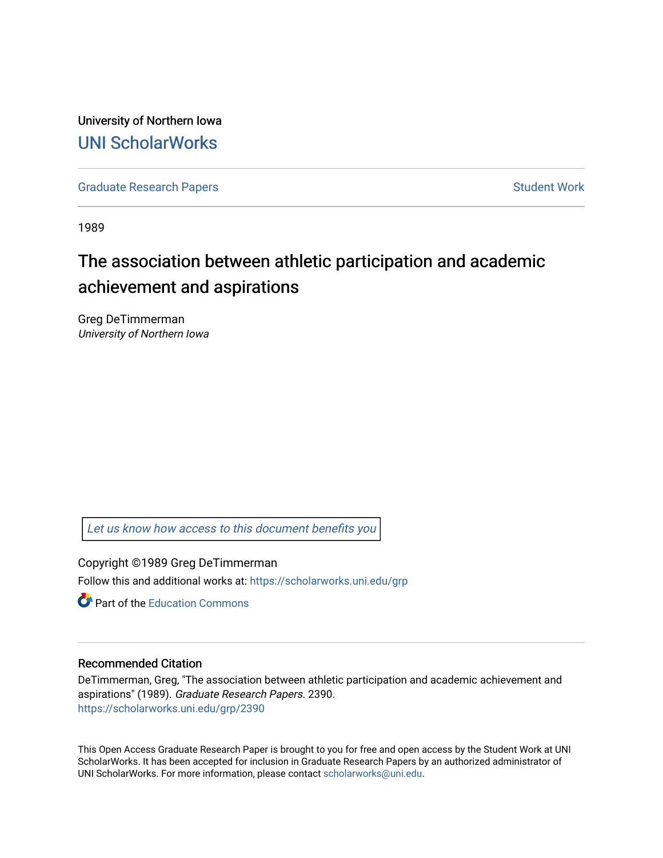University of Northern Iowa [UNI ScholarWorks](https://scholarworks.uni.edu/) 

[Graduate Research Papers](https://scholarworks.uni.edu/grp) **Student Work** Student Work

1989

# The association between athletic participation and academic achievement and aspirations

Greg DeTimmerman University of Northern Iowa

[Let us know how access to this document benefits you](https://scholarworks.uni.edu/feedback_form.html) 

Copyright ©1989 Greg DeTimmerman Follow this and additional works at: [https://scholarworks.uni.edu/grp](https://scholarworks.uni.edu/grp?utm_source=scholarworks.uni.edu%2Fgrp%2F2390&utm_medium=PDF&utm_campaign=PDFCoverPages) 

**C** Part of the [Education Commons](http://network.bepress.com/hgg/discipline/784?utm_source=scholarworks.uni.edu%2Fgrp%2F2390&utm_medium=PDF&utm_campaign=PDFCoverPages)

#### Recommended Citation

DeTimmerman, Greg, "The association between athletic participation and academic achievement and aspirations" (1989). Graduate Research Papers. 2390. [https://scholarworks.uni.edu/grp/2390](https://scholarworks.uni.edu/grp/2390?utm_source=scholarworks.uni.edu%2Fgrp%2F2390&utm_medium=PDF&utm_campaign=PDFCoverPages) 

This Open Access Graduate Research Paper is brought to you for free and open access by the Student Work at UNI ScholarWorks. It has been accepted for inclusion in Graduate Research Papers by an authorized administrator of UNI ScholarWorks. For more information, please contact [scholarworks@uni.edu.](mailto:scholarworks@uni.edu)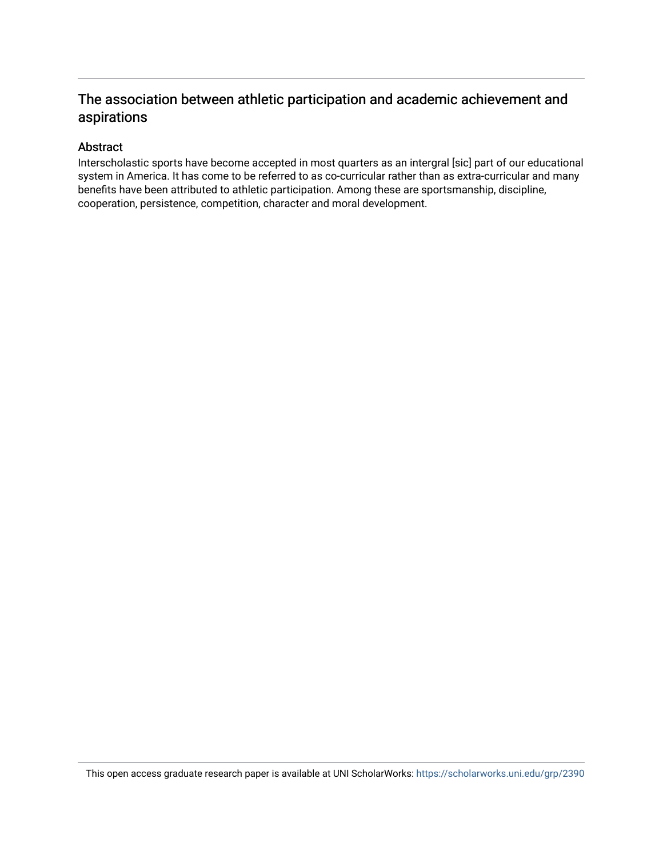### The association between athletic participation and academic achievement and aspirations

### Abstract

Interscholastic sports have become accepted in most quarters as an intergral [sic] part of our educational system in America. It has come to be referred to as co-curricular rather than as extra-curricular and many benefits have been attributed to athletic participation. Among these are sportsmanship, discipline, cooperation, persistence, competition, character and moral development.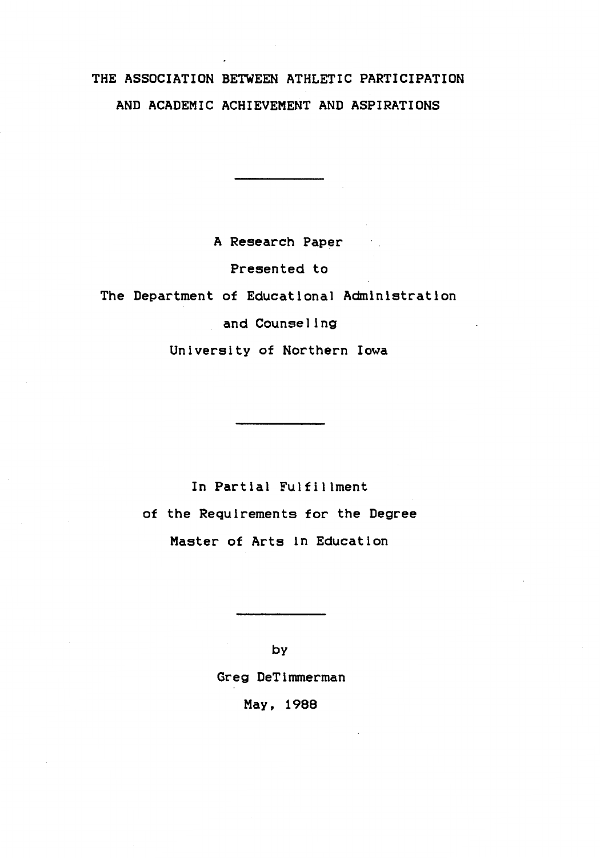## THE ASSOCIATION BETWEEN ATHLETIC PARTICIPATION AND ACADEMIC ACHIEVEMENT AND ASPIRATIONS

A Research Paper

Presented to

The Department of Educational Administration

and Counseling

University of Northern Iowa

In Partial Fulfillment of the Requirements for the **Degree**  Master of Arts in Education

> by Greg DeTimmerman May. 1988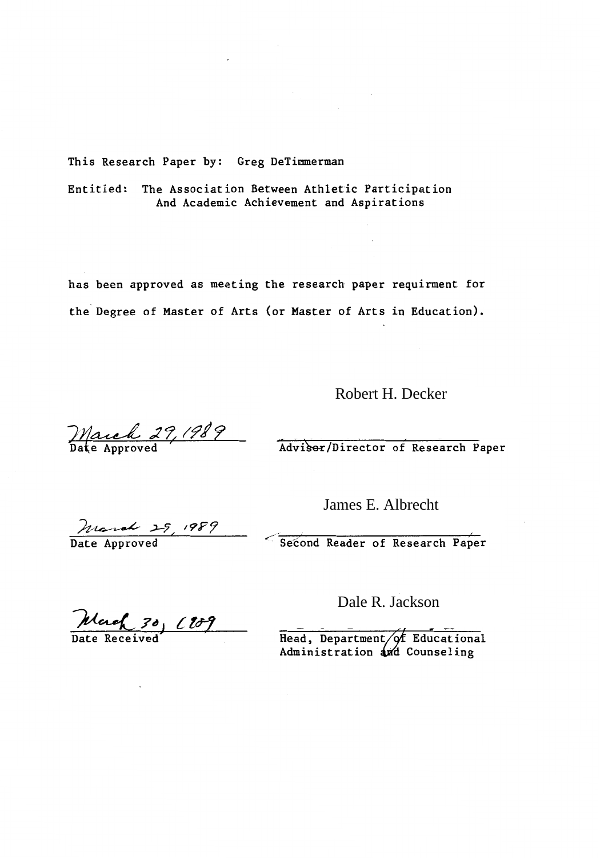This Research Paper by: Greg DeTimmerman

Entitled: The Association Between Athletic Participation And Academic Achievement and Aspirations

has been approved as meeting the research paper requirment for the Degree of Master of Arts (or Master of Arts in Education).

Robert H. Decker

March 29, 1989

Adviser/Director of Research Paper

March 29, 1989

James E. Albrecht

Second Reader of Research Paper

March 30, 1909

Dale R. Jackson

Head, Department/of Educational Administration and Counseling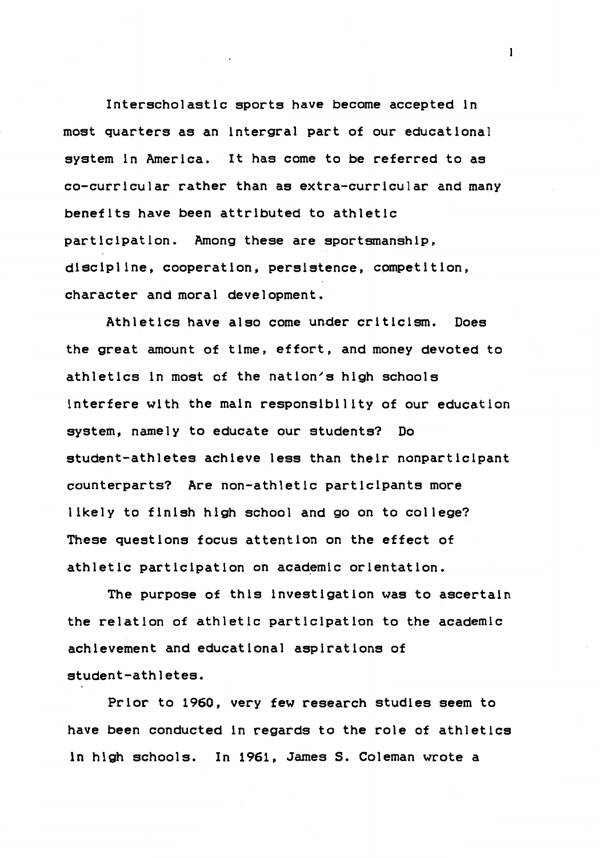Interscholastic sports have become accepted in most quarters as an lntergral part of our educational system in America. It has come to be referred to as co-curricular rather than as extra-curricular and many benefits have been attributed to athletic participation. Among these are sportsmanship, discipline, cooperation, persistence, competition, character and moral development.

Athletics have also come under criticism. Does the great amount of time, effort, and money devoted to athletics in most of the nation's high schools interfere with the main responsibility of our education system, namely to educate our students? Do student-athletes achieve less than their nonparticipant counterparts? Are non-athletic participants more likely to finish high school and go on to college? These questions focus attention on the effect of athletic participation on academic orientation.

The purpose of this investigation was to ascertain the relation of athletic participation to the academic achievement and educational aspirations of student-athletes.

Prior to 1960, very few research studies seem to have been conducted in regards to the role of athletics in high schools. In 1961, James S. Coleman wrote a

 $\mathbf{I}$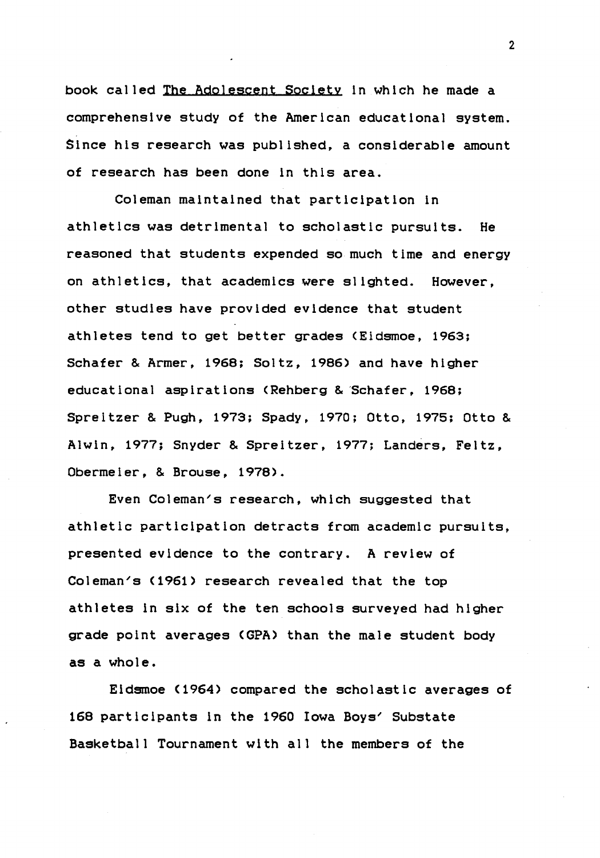book called The Adolescent Society ln which he made a comprehensive study of the American educational system. Since his research was published, a considerable amount of research has been done in this area.

Coleman maintained that participation in athletics was detrimental to scholastic pursuits. He reasoned that students expended so much time and energy on athletics, that academics were slighted. However, other studies have provided evidence that student athletes tend to get better grades (Eidsmoe, 1963; Schafer & Armer, 1968; Soltz, 1986) and have higher educational aspirations <Rehberg & 'Schafer, 1968; Spreitzer & Pugh, 1973; Spady, 1970; Otto, 1975; Otto & Alwin, 1977; Snyder & Spreitzer, 1977; Landers, Feltz, Obermeier, & Brouse, 1978).

Even Coleman's research, which suggested that athletic participation detracts from academic pursuits, presented evidence to the contrary. A review of Coleman's (1961) research revealed that the top athletes in six of the ten schools surveyed had higher grade point averages <GPA> than the male student body as a whole.

Eidsmoe (1964> compared the scholastic averages of 168 participants in the 1960 Iowa Boys' Substate Basketball Tournament with all the members of the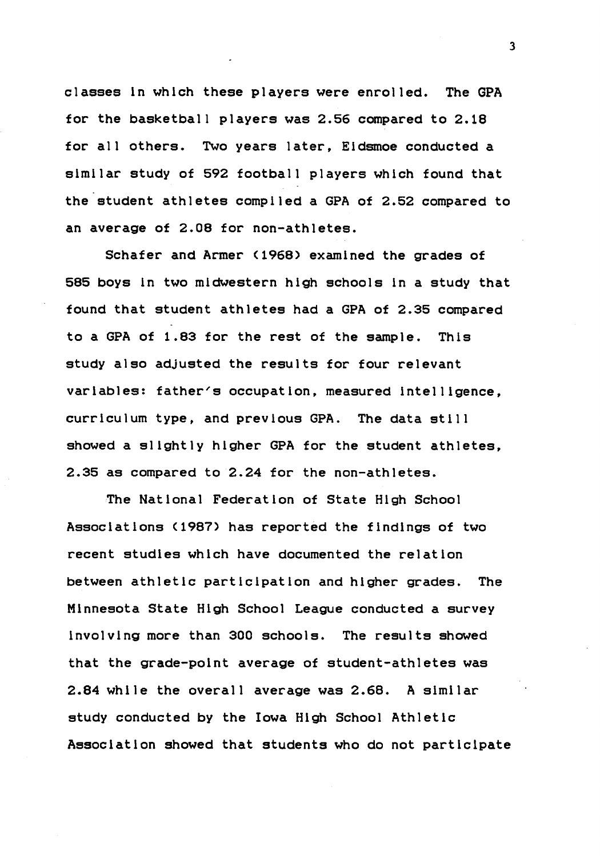classes in which these players were enrolled. The GPA for the basketball players was 2.56 compared to  $2.18$ for all others. Two years later, Eidsmoe conducted a similar study of 592 football players which found that the student athletes compiled a GPA of 2.52 compared to an average of 2.08 for non-athletes.

Schafer and Armer (1968) examined the grades of 585 boys in two midwestern high schools in a study that found that student athletes had a GPA of 2.35 compared to a GPA of 1.83 for the rest of the sample. This study also adjusted the results for four relevant variables: father's occupation, measured intelligence. curriculum type, and previous GPA. The data still showed a slightly higher GPA for the student athletes, 2.35 as compared to 2.24 for the non-athletes.

The National Federation of State High School Associations (1987) has reported the findings of two recent studies which have documented the relation between athletic participation and higher grades. The Minnesota State High School League conducted a survey involving more than 300 schools. The results showed that the grade-point average of student-athletes was 2.84 while the overall average was  $2.68$ . A similar study conducted by the Iowa High School Athletic Association showed that students who do not participate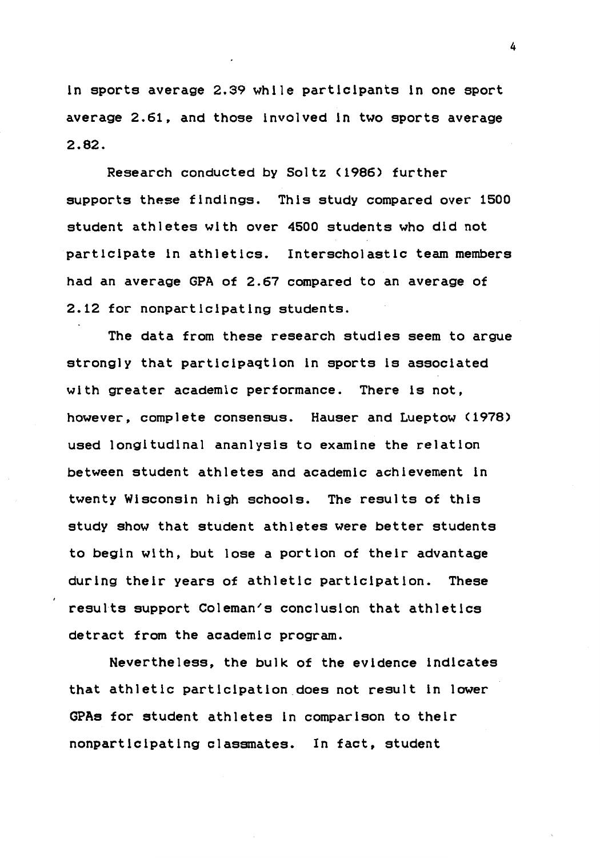ln sports average 2.39 while partlclpants ln one sport average 2.61, and those involved in two sports average **2.82.** 

Research conducted by Soltz (1986) further supports these findings. This study compared over 1500 student athletes with over 4500 students who did not participate in athletics. Interscholastic team members had an average GPA of 2.67 compared to an average of 2.12 for nonparticipating students.

The data from these research studies seem to argue strongly that partlcipagtlon in sports ls associated with greater academic performance. There ls not, however, complete consensus. Hauser and Lueptow (1978) used longitudinal ananlysls to examine the relation between student athletes and academic achievement in twenty Wisconsin high schools. The results of this study show that student athletes were better students to begin wlth, but lose a portion of their advantage during their years of athletic participation. These results support Coleman's conclusion that athletics detract from the academic program.

Nevertheless, the bulk of the evidence indicates that athletic participation does not result in lower GPAs for student athletes ln comparison to their nonparticipating classmates. In fact, student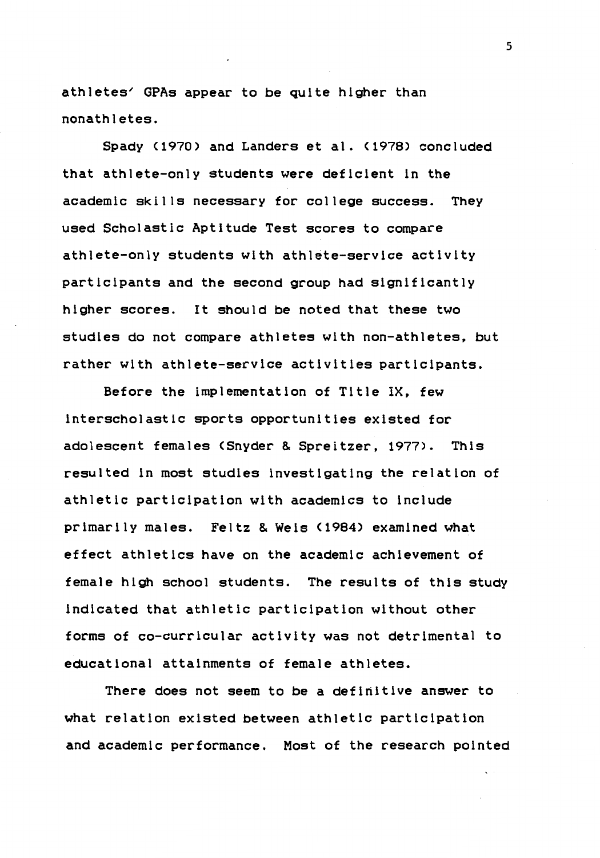athletes' GPAs appear to be quite higher than nonathletes.

Spady <1970) and Landers et al. (1978) concluded that athlete-only students were deficient in the academic skills necessary for college success. They used Scholastic Aptitude Test scores to compare athlete-only students with athlete-service activity participants and the second group had significantly higher scores. It should be noted that these two studies do not compare athletes with non-athletes, but rather with athlete-service activities participants.

Before the implementation of Title IX, few Interscholastic sports opportunities existed for adolescent females <Snyder & Spreitzer, 1977). This resulted in most studies investigating the relation of athletic participation with academics to include primarily males. Feltz & Weis <1984) examined what effect athletics have on the academic achievement of female high school students. The results of this study indicated that athletic participation without other forms of co-curricular activity was not detrimental to educational attainments of female athletes.

There does not seem to be a definitive answer to what relation existed between athletic participation and academic performance. Most of the research pointed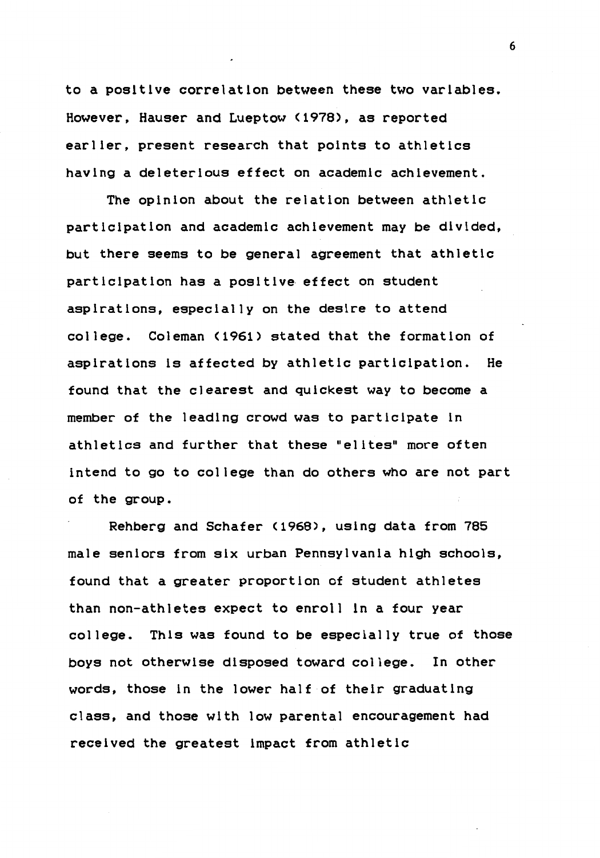to a positive correlation between these two variables. However, Hauser and Lueptow <1978), as reported earlier, present research that points to athletics having a deleterious effect on academic achievement.

The opinion about the relation between athletic participation and academic achievement may be divided, but there seems to be general agreement that athletic participation has a positive effect on student aspirations, especially on the desire to attend college. Coleman (1961> stated that the formation of aspirations ls affected by athletic participation. He found that the clearest and quickest way to become a member of the leading crowd was to participate in athletics and further that these "elites" more often intend to go to college than do others who are not part of the group.

Rehberg and Schafer <1968), using data from 785 male seniors from six urban Pennsylvania high schools, found that a greater proportion of student athletes than non-athletes expect to enroll in a four year college. This was found to be especially true of those boys not otherwise disposed toward college. In other words, those in the lower half of their graduating class, and those with low parental encouragement had received the greatest impact from athletic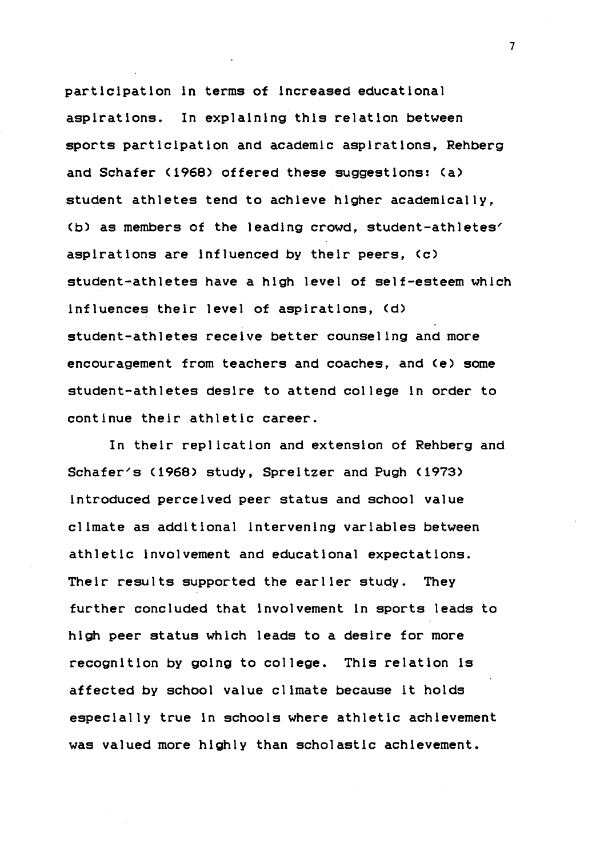participation ln terms of increased educational aspirations. In explaining this relation between sports participation and academic aspirations, Rehberg and Schafer (1968) offered these suggestions: (a) student athletes tend to achieve higher academically, Cb) as members of the leading crowd, student-athletes' aspirations are influenced by their peers, (c) student-athletes have a high level of self-esteem which influences their level of aspirations, (d) student-athletes receive better counseling and more encouragement from teachers and coaches, and Ce> some student-athletes desire to attend college in order to continue their athletic career.

In their replication and extension of Rehberg and Schafer's (1968> study, Spreitzer and Pugh (1973) introduced perceived peer status and school value climate as additional intervening variables between athletic involvement and educational expectations. Their results supported the earlier study. They further concluded that involvement in sports leads to high peer status which leads to a desire for more recognition by going to college. This relation ls affected by school value climate because it holds especially true in schools where athletic achievement was valued more highly than scholastic achievement.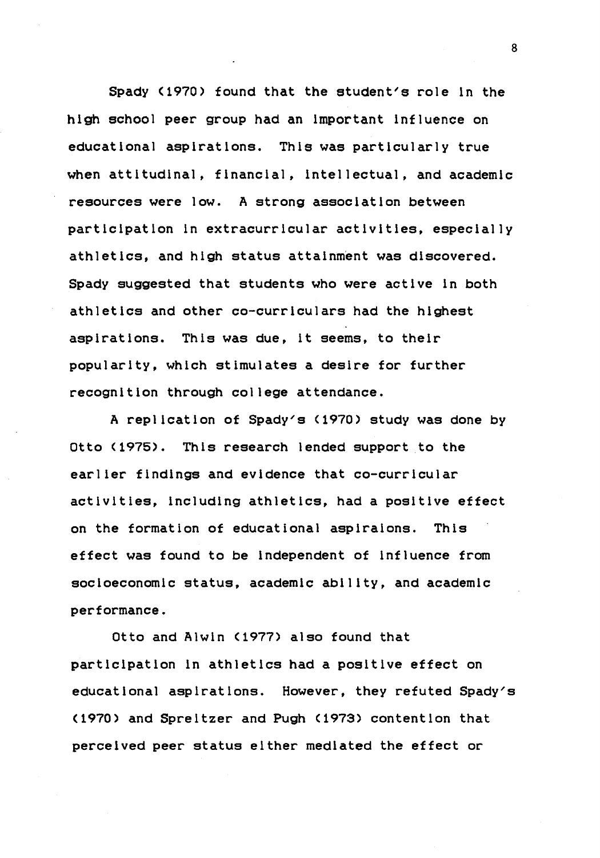Spady (1970) found that the student's role in the high school peer group had an important influence on educational aspirations. This was particularly true when attitudinal, financial, intellectual, and academic resources were low. A strong association between participation in extracurricular activities, especially athletics, and high status attainment was discovered. Spady suggested that students who were active in both athletics and other co-curriculars had the highest aspirations. This was due, it seems, to their popularity, which stimulates a desire for further recognition through college attendance.

A replication of Spady's (1970) study was done by Otto (1975). This research lended support to the earlier findings and evidence that co-curricular activities, including athletics, had a positive effect on the formation of educational aspiraions. This effect was found to be independent of influence from socioeconomic status, academic ability, and academic performance.

Otto and Alwin (1977) also found that participation in athletics had a positive effect on educational aspirations. However, they refuted Spady's (1970) and Spreitzer and Pugh (1973) contention that perceived peer status either mediated the effect or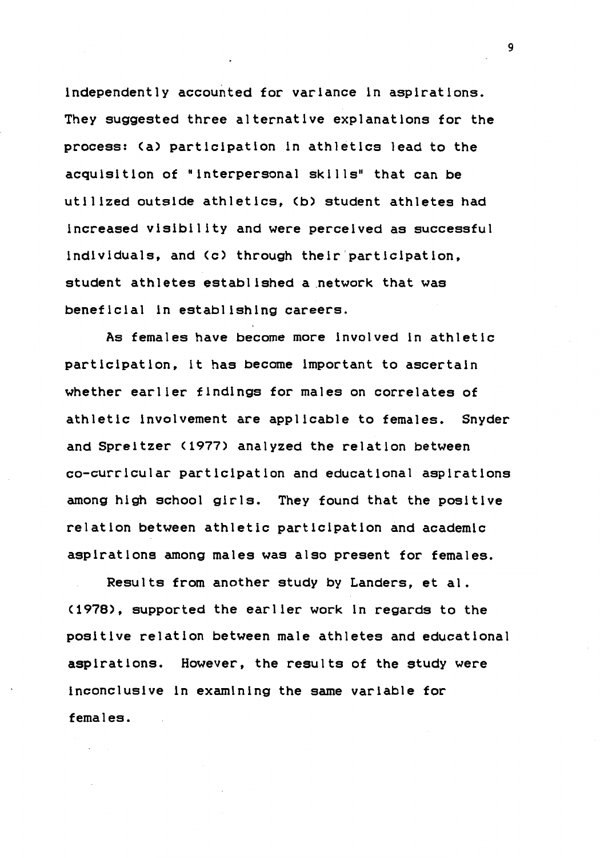independently accounted for variance in aspirations. They suggested three alternative explanations for the process: Ca> participation in athletics lead to the acquisition of "interpersonal skills" that can be utilized outside athletics, Cb) student athletes had increased visibility and were perceived as successful individuals, and Cc) through their'participation, student athletes established a network that was beneficial in establishing careers.

As females have become more involved in athletic participation, lt has become important to ascertain whether earlier findings for males on correlates of athletic involvement are applicable to females. Snyder and Spreitzer C1977) analyzed the relation between co-curricular participation and educational aspirations among high school girls. They found that the positive relation between athletic participation and academic aspirations among males was also present for females.

Results from another study by Landers, et al. C1978), supported the earlier work in regards to the positive relation between male athletes and educational aspirations. However, the results of the study were inconclusive ln examining the same variable for females.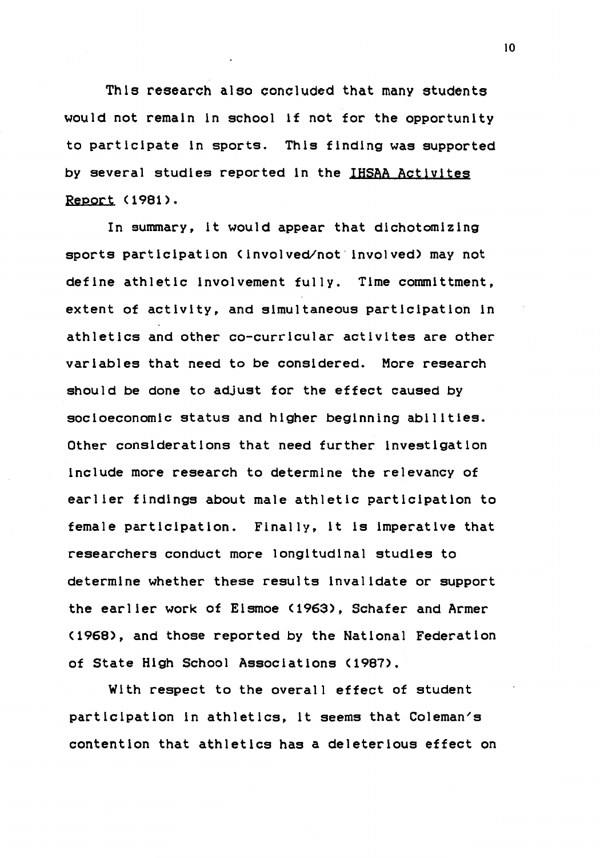This research also concluded that many students would not remain in school if not for the opportunity to participate in sports. This finding was supported by several studies reported in the IHSAA Actlvltes Report (1981).

In summary, it would appear that dichotomizing sports participation (involved/not involved) may not define athletic involvement fully. Time committment, extent of activity, and simultaneous participation in athletics and other co-curricular activites are other variables that need to be considered. More research should be done to adjust for the effect caused by socioeconomic status and higher beginning abilities. Other considerations that need further investigation include more research to determine the relevancy of earlier findings about male athletic participation to female participation. Finally, it is imperative that researchers conduct more longitudinal studies to determine whether these results invalidate or support the earlier work of Eismoe (1963>, Schafer and Armer (1968>, and those reported by the National Federation of State High School Associations (1987>.

With respect to the overall effect of student participation in athletics, it seems that Coleman's contention that athletics has a deleterious effect on

 $10<sup>°</sup>$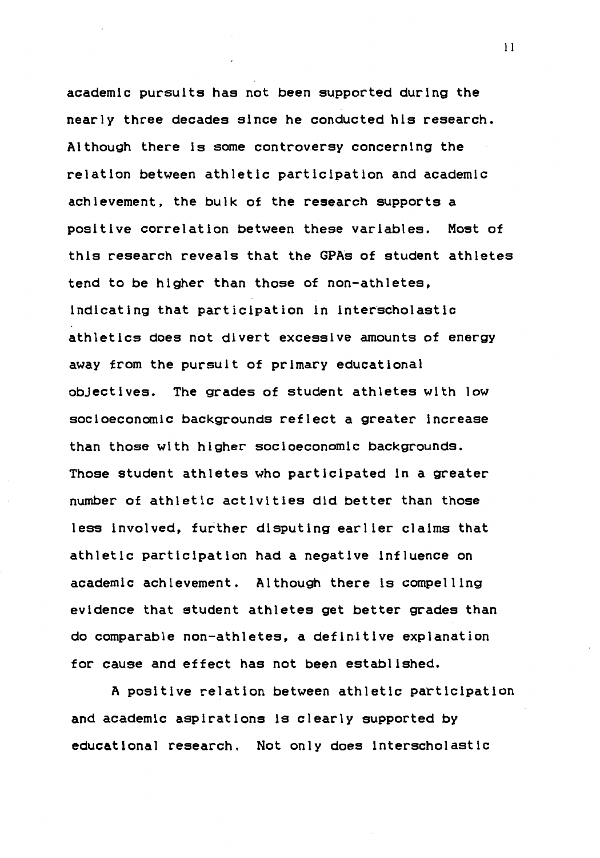academic pursuits has not been supported during the nearly three decades since he conducted his research. Although there is some controversy concerning the relation between athletic participation and academic achievement, the bulk of the research supports a positive correlation between these variables. Most of this research reveals that the GPA's of student athletes tend to be higher than those of non-athletes, indicating that participation in interscholastic athletics does not divert excessive amounts of energy away from the pursuit of primary educational objectives. The grades of student athletes with low socioeconomic backgrounds reflect a greater increase than those with higher socioeconomic backgrounds. Those student athletes who participated in a greater number of athletic activities did better than those less involved, further disputing earlier claims that athletic participation had a negative influence on academic achievement. Although there is compelling evidence that student athletes get better grades than do comparable non-athletes, a definitive explanation for cause and effect has not been established.

A positive relation between athletic participation and academic aspirations is clearly supported by educational research. Not only does interscholastic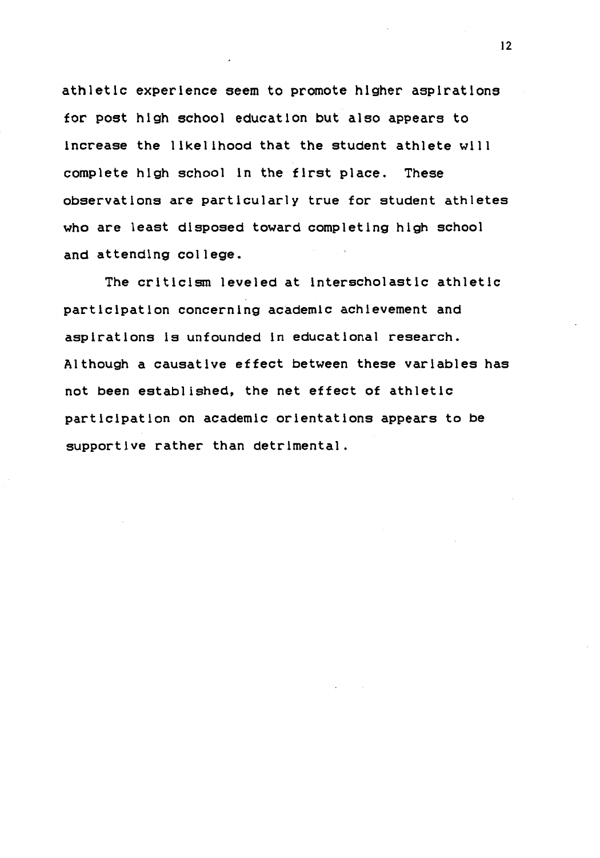athletic experience seem to promote higher aspirations for post high school education but also appears to increase the likelihood that the student athlete will complete high school in the first place. These observations are particularly true for student athletes who are least disposed toward completing high school and attending college.

The criticism leveled at interscholastic athletic participation concerning academic achievement and aspirations ls unfounded in educational research. Although a causative effect between these variables has not been established, the net effect of athletic participation on academic orientations appears to be supportive rather than detrimental.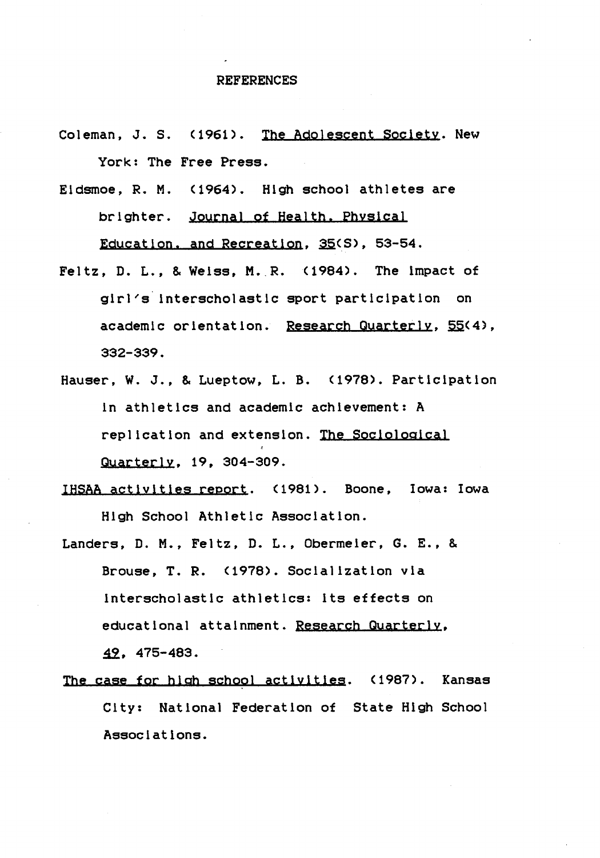#### REFERENCES

- Coleman, J. S. (1961). The Adolescent Society. New York: The Free Press.
- Eidsmoe, R. M. <1964). High school athletes are brighter. Journal of Health, Physical Education, and Recreation, 35(S), 53-54.
- Feltz, D. L., & Weiss, M. R.  $(1984)$ . The impact of girl~s· interscholastic sport participation on academic orientation. Research Quarterly, 55(4), 332-339.
- Hauser, W. J., & Lueptow, L.B. (1978). Participation in athletics and academic achievement: A replication and extension. The Sociological Quarterly, 19, 304-309.
- IHSAA activities report. <1981>. Boone, Iowa: Iowa High School Athletic Association.
- Landers, D. M., Feltz, D. L., Obermeier, G. E., & Brouse, T. R. <1978). Socialization via interscholastic athletics: its effects on educational attainment. Research Quarterly, ~. 475-483.
- The case for high school activities. (1987). Kansas City: National Federation of State High School Associations.